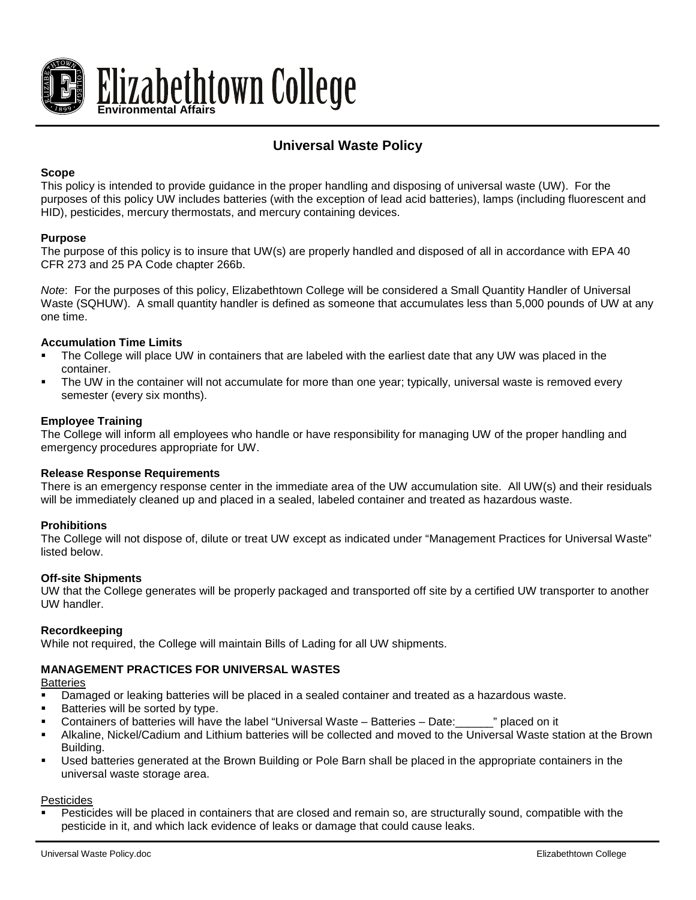

# **Universal Waste Policy**

## **Scope**

This policy is intended to provide guidance in the proper handling and disposing of universal waste (UW). For the purposes of this policy UW includes batteries (with the exception of lead acid batteries), lamps (including fluorescent and HID), pesticides, mercury thermostats, and mercury containing devices.

## **Purpose**

The purpose of this policy is to insure that UW(s) are properly handled and disposed of all in accordance with EPA 40 CFR 273 and 25 PA Code chapter 266b.

*Note*: For the purposes of this policy, Elizabethtown College will be considered a Small Quantity Handler of Universal Waste (SQHUW). A small quantity handler is defined as someone that accumulates less than 5,000 pounds of UW at any one time.

### **Accumulation Time Limits**

- The College will place UW in containers that are labeled with the earliest date that any UW was placed in the container.
- The UW in the container will not accumulate for more than one year; typically, universal waste is removed every semester (every six months).

## **Employee Training**

The College will inform all employees who handle or have responsibility for managing UW of the proper handling and emergency procedures appropriate for UW.

#### **Release Response Requirements**

There is an emergency response center in the immediate area of the UW accumulation site. All UW(s) and their residuals will be immediately cleaned up and placed in a sealed, labeled container and treated as hazardous waste.

## **Prohibitions**

The College will not dispose of, dilute or treat UW except as indicated under "Management Practices for Universal Waste" listed below.

#### **Off-site Shipments**

UW that the College generates will be properly packaged and transported off site by a certified UW transporter to another UW handler.

## **Recordkeeping**

While not required, the College will maintain Bills of Lading for all UW shipments.

## **MANAGEMENT PRACTICES FOR UNIVERSAL WASTES**

**Batteries** 

- Damaged or leaking batteries will be placed in a sealed container and treated as a hazardous waste.
- Batteries will be sorted by type.
- Containers of batteries will have the label "Universal Waste Batteries Date:\_\_\_\_\_\_" placed on it
- Alkaline, Nickel/Cadium and Lithium batteries will be collected and moved to the Universal Waste station at the Brown Building.
- Used batteries generated at the Brown Building or Pole Barn shall be placed in the appropriate containers in the universal waste storage area.

#### Pesticides

 Pesticides will be placed in containers that are closed and remain so, are structurally sound, compatible with the pesticide in it, and which lack evidence of leaks or damage that could cause leaks.